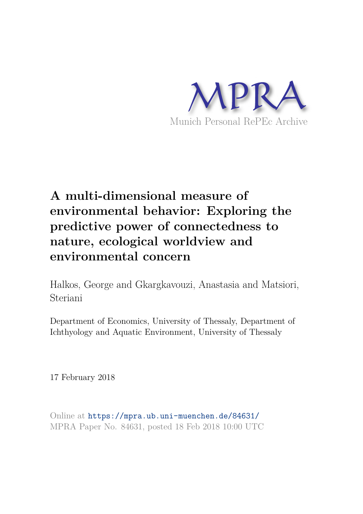

# **A multi-dimensional measure of environmental behavior: Exploring the predictive power of connectedness to nature, ecological worldview and environmental concern**

Halkos, George and Gkargkavouzi, Anastasia and Matsiori, Steriani

Department of Economics, University of Thessaly, Department of Ichthyology and Aquatic Environment, University of Thessaly

17 February 2018

Online at https://mpra.ub.uni-muenchen.de/84631/ MPRA Paper No. 84631, posted 18 Feb 2018 10:00 UTC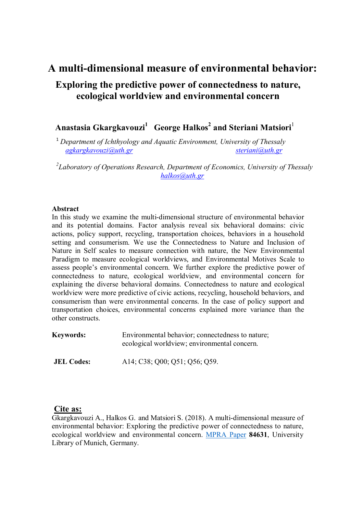# **A multi-dimensional measure of environmental behavior:**

# **Exploring the predictive power of connectedness to nature, ecological worldview and environmental concern**

# **Anastasia Gkargkavouzi<sup>1</sup> George Halkos<sup>2</sup> and Steriani Matsiori**<sup>1</sup>

<sup>1</sup> *Department of Ichthyology and Aquatic Environment, University of Thessaly agkargkavouzi@uth.gr steriani@uth.gr*

*2 Laboratory of Operations Research, Department of Economics, University of Thessaly halkos@uth.gr*

# **Abstract**

In this study we examine the multi-dimensional structure of environmental behavior and its potential domains. Factor analysis reveal six behavioral domains: civic actions, policy support, recycling, transportation choices, behaviors in a household setting and consumerism. We use the Connectedness to Nature and Inclusion of Nature in Self scales to measure connection with nature, the New Environmental Paradigm to measure ecological worldviews, and Environmental Motives Scale to assess people's environmental concern. We further explore the predictive power of connectedness to nature, ecological worldview, and environmental concern for explaining the diverse behavioral domains. Connectedness to nature and ecological worldview were more predictive of civic actions, recycling, household behaviors, and consumerism than were environmental concerns. In the case of policy support and transportation choices, environmental concerns explained more variance than the other constructs.

| <b>Keywords:</b>  | Environmental behavior; connectedness to nature;<br>ecological worldview; environmental concern. |
|-------------------|--------------------------------------------------------------------------------------------------|
| <b>JEL Codes:</b> | A14; C38; Q00; Q51; Q56; Q59.                                                                    |

# **Cite as:**

 Gkargkavouzi A., Halkos G. and Matsiori S. (2018). A multi-dimensional measure of environmental behavior: Exploring the predictive power of connectedness to nature, ecological worldview and environmental concern. MPRA Paper **84631**, University Library of Munich, Germany.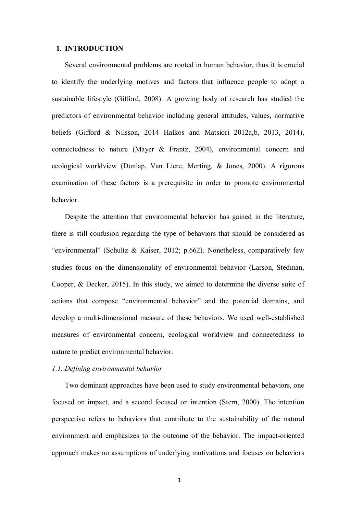#### **1. INTRODUCTION**

 Several environmental problems are rooted in human behavior, thus it is crucial to identify the underlying motives and factors that influence people to adopt a sustainable lifestyle (Gifford, 2008). A growing body of research has studied the predictors of environmental behavior including general attitudes, values, normative beliefs (Gifford & Nilsson, 2014 Halkos and Matsiori 2012a, b, 2013, 2014), connectedness to nature (Mayer & Frantz, 2004), environmental concern and ecological worldview (Dunlap, Van Liere, Merting, & Jones, 2000). A rigorous examination of these factors is a prerequisite in order to promote environmental behavior.

 Despite the attention that environmental behavior has gained in the literature, there is still confusion regarding the type of behaviors that should be considered as "environmental" (Schultz & Kaiser, 2012; p.662). Nonetheless, comparatively few studies focus on the dimensionality of environmental behavior (Larson, Stedman, Cooper, & Decker, 2015). In this study, we aimed to determine the diverse suite of actions that compose "environmental behavior" and the potential domains, and develop a multi-dimensional measure of these behaviors. We used well-established measures of environmental concern, ecological worldview and connectedness to nature to predict environmental behavior.

## *1.1. Defining environmental behavior*

 Two dominant approaches have been used to study environmental behaviors, one focused on impact, and a second focused on intention (Stern, 2000). The intention perspective refers to behaviors that contribute to the sustainability of the natural environment and emphasizes to the outcome of the behavior. The impact-oriented approach makes no assumptions of underlying motivations and focuses on behaviors

1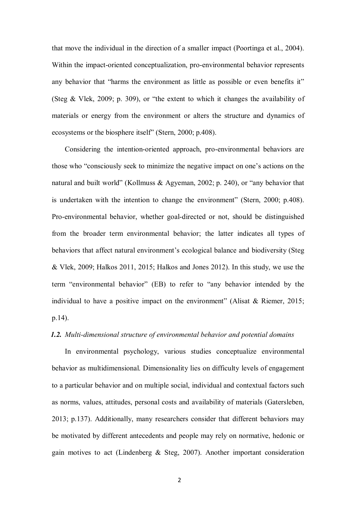that move the individual in the direction of a smaller impact (Poortinga et al., 2004). Within the impact-oriented conceptualization, pro-environmental behavior represents any behavior that "harms the environment as little as possible or even benefits it" (Steg & Vlek, 2009; p. 309), or "the extent to which it changes the availability of materials or energy from the environment or alters the structure and dynamics of ecosystems or the biosphere itself" (Stern, 2000; p.408).

 Considering the intention-oriented approach, pro-environmental behaviors are those who "consciously seek to minimize the negative impact on one's actions on the natural and built world" (Kollmuss & Agyeman, 2002; p. 240), or "any behavior that is undertaken with the intention to change the environment" (Stern, 2000; p.408). Pro-environmental behavior, whether goal-directed or not, should be distinguished from the broader term environmental behavior; the latter indicates all types of behaviors that affect natural environment's ecological balance and biodiversity (Steg & Vlek, 2009; Halkos 2011, 2015; Halkos and Jones 2012). In this study, we use the term "environmental behavior" (EB) to refer to "any behavior intended by the individual to have a positive impact on the environment" (Alisat  $&$  Riemer, 2015; p.14).

#### *1.2. Multi-dimensional structure of environmental behavior and potential domains*

 In environmental psychology, various studies conceptualize environmental behavior as multidimensional. Dimensionality lies on difficulty levels of engagement to a particular behavior and on multiple social, individual and contextual factors such as norms, values, attitudes, personal costs and availability of materials (Gatersleben, 2013; p.137). Additionally, many researchers consider that different behaviors may be motivated by different antecedents and people may rely on normative, hedonic or gain motives to act (Lindenberg & Steg, 2007). Another important consideration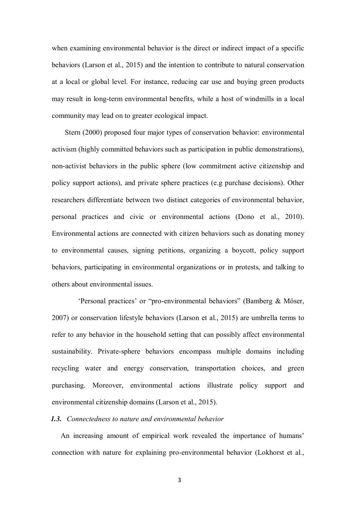when examining environmental behavior is the direct or indirect impact of a specific behaviors (Larson et al., 2015) and the intention to contribute to natural conservation at a local or global level. For instance, reducing car use and buying green products may result in long-term environmental benefits, while a host of windmills in a local community may lead on to greater ecological impact.

 Stern (2000) proposed four major types of conservation behavior: environmental activism (highly committed behaviors such as participation in public demonstrations), non-activist behaviors in the public sphere (low commitment active citizenship and policy support actions), and private sphere practices (e.g purchase decisions). Other researchers differentiate between two distinct categories of environmental behavior, personal practices and civic or environmental actions (Dono et al., 2010). Environmental actions are connected with citizen behaviors such as donating money to environmental causes, signing petitions, organizing a boycott, policy support behaviors, participating in environmental organizations or in protests, and talking to others about environmental issues.

 'Personal practices' or "pro-environmental behaviors" (Bamberg & Möser, 2007) or conservation lifestyle behaviors (Larson et al., 2015) are umbrella terms to refer to any behavior in the household setting that can possibly affect environmental sustainability. Private-sphere behaviors encompass multiple domains including recycling water and energy conservation, transportation choices, and green purchasing. Moreover, environmental actions illustrate policy support and environmental citizenship domains (Larson et al., 2015).

# *1.3. Connectedness to nature and environmental behavior*

An increasing amount of empirical work revealed the importance of humans' connection with nature for explaining pro-environmental behavior (Lokhorst et al.,

3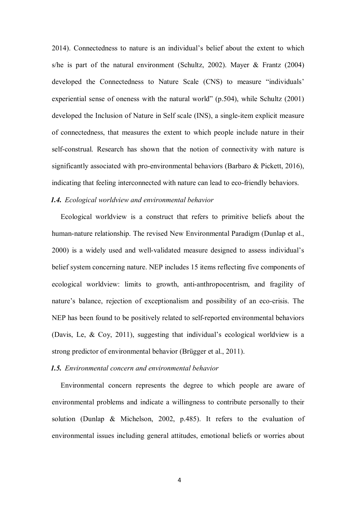2014). Connectedness to nature is an individual's belief about the extent to which s/he is part of the natural environment (Schultz, 2002). Mayer  $\&$  Frantz (2004) developed the Connectedness to Nature Scale (CNS) to measure "individuals' experiential sense of oneness with the natural world" (p.504), while Schultz (2001) developed the Inclusion of Nature in Self scale (INS), a single-item explicit measure of connectedness, that measures the extent to which people include nature in their self-construal. Research has shown that the notion of connectivity with nature is significantly associated with pro-environmental behaviors (Barbaro & Pickett, 2016), indicating that feeling interconnected with nature can lead to eco-friendly behaviors.

# *1.4. Ecological worldview and environmental behavior*

Ecological worldview is a construct that refers to primitive beliefs about the human-nature relationship. The revised New Environmental Paradigm (Dunlap et al., 2000) is a widely used and well-validated measure designed to assess individual's belief system concerning nature. NEP includes 15 items reflecting five components of ecological worldview: limits to growth, anti-anthropocentrism, and fragility of nature's balance, rejection of exceptionalism and possibility of an eco-crisis. The NEP has been found to be positively related to self-reported environmental behaviors (Davis, Le, & Coy, 2011), suggesting that individual's ecological worldview is a strong predictor of environmental behavior (Brügger et al., 2011).

#### *1.5. Environmental concern and environmental behavior*

Environmental concern represents the degree to which people are aware of environmental problems and indicate a willingness to contribute personally to their solution (Dunlap & Michelson, 2002, p.485). It refers to the evaluation of environmental issues including general attitudes, emotional beliefs or worries about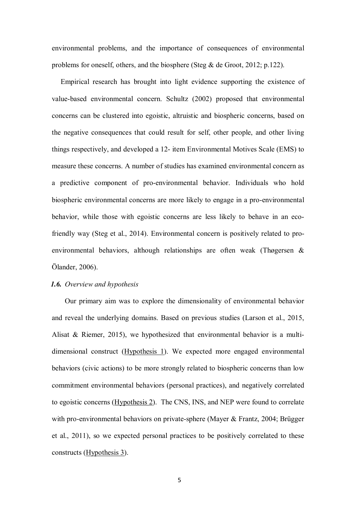environmental problems, and the importance of consequences of environmental problems for oneself, others, and the biosphere (Steg  $\&$  de Groot, 2012; p.122).

Empirical research has brought into light evidence supporting the existence of value-based environmental concern. Schultz (2002) proposed that environmental concerns can be clustered into egoistic, altruistic and biospheric concerns, based on the negative consequences that could result for self, other people, and other living things respectively, and developed a 12- item Environmental Motives Scale (EMS) to measure these concerns. A number of studies has examined environmental concern as a predictive component of pro-environmental behavior. Individuals who hold biospheric environmental concerns are more likely to engage in a pro-environmental behavior, while those with egoistic concerns are less likely to behave in an ecofriendly way (Steg et al., 2014). Environmental concern is positively related to proenvironmental behaviors, although relationships are often weak (Thøgersen & Ölander, 2006).

### *1.6. Overview and hypothesis*

 Our primary aim was to explore the dimensionality of environmental behavior and reveal the underlying domains. Based on previous studies (Larson et al., 2015, Alisat & Riemer, 2015), we hypothesized that environmental behavior is a multidimensional construct (Hypothesis 1). We expected more engaged environmental behaviors (civic actions) to be more strongly related to biospheric concerns than low commitment environmental behaviors (personal practices), and negatively correlated to egoistic concerns (Hypothesis 2). The CNS, INS, and NEP were found to correlate with pro-environmental behaviors on private-sphere (Mayer & Frantz, 2004; Brügger et al., 2011), so we expected personal practices to be positively correlated to these constructs (Hypothesis 3).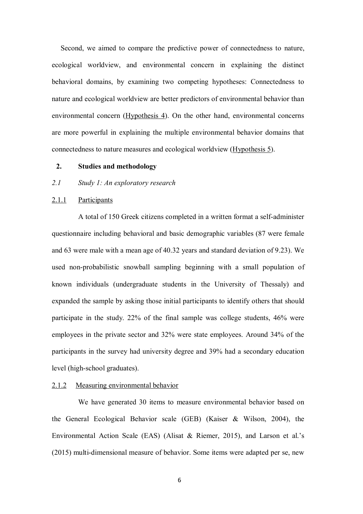Second, we aimed to compare the predictive power of connectedness to nature, ecological worldview, and environmental concern in explaining the distinct behavioral domains, by examining two competing hypotheses: Connectedness to nature and ecological worldview are better predictors of environmental behavior than environmental concern (Hypothesis 4). On the other hand, environmental concerns are more powerful in explaining the multiple environmental behavior domains that connectedness to nature measures and ecological worldview (Hypothesis 5).

## **2. Studies and methodology**

#### *2.1 Study 1: An exploratory research*

### 2.1.1 Participants

 A total of 150 Greek citizens completed in a written format a self-administer questionnaire including behavioral and basic demographic variables (87 were female and 63 were male with a mean age of 40.32 years and standard deviation of 9.23). We used non-probabilistic snowball sampling beginning with a small population of known individuals (undergraduate students in the University of Thessaly) and expanded the sample by asking those initial participants to identify others that should participate in the study. 22% of the final sample was college students, 46% were employees in the private sector and 32% were state employees. Around 34% of the participants in the survey had university degree and 39% had a secondary education level (high-school graduates).

# 2.1.2 Measuring environmental behavior

 We have generated 30 items to measure environmental behavior based on the General Ecological Behavior scale (GEB) (Kaiser & Wilson, 2004), the Environmental Action Scale (EAS) (Alisat & Riemer, 2015), and Larson et al.'s (2015) multi-dimensional measure of behavior. Some items were adapted per se, new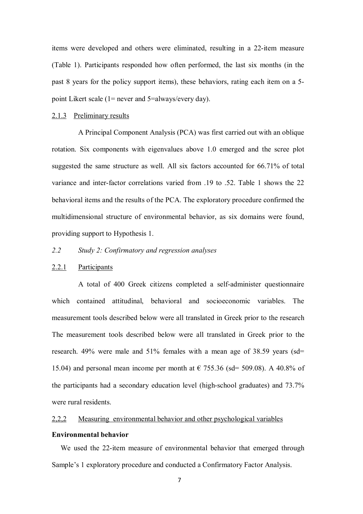items were developed and others were eliminated, resulting in a 22-item measure (Table 1). Participants responded how often performed, the last six months (in the past 8 years for the policy support items), these behaviors, rating each item on a 5 point Likert scale (1= never and 5=always/every day).

#### 2.1.3 Preliminary results

 A Principal Component Analysis (PCA) was first carried out with an oblique rotation. Six components with eigenvalues above 1.0 emerged and the scree plot suggested the same structure as well. All six factors accounted for 66.71% of total variance and inter-factor correlations varied from .19 to .52. Table 1 shows the 22 behavioral items and the results of the PCA. The exploratory procedure confirmed the multidimensional structure of environmental behavior, as six domains were found, providing support to Hypothesis 1.

# *2.2 Study 2: Confirmatory and regression analyses*

## 2.2.1 Participants

 A total of 400 Greek citizens completed a self-administer questionnaire which contained attitudinal, behavioral and socioeconomic variables. The measurement tools described below were all translated in Greek prior to the research The measurement tools described below were all translated in Greek prior to the research. 49% were male and 51% females with a mean age of 38.59 years (sd= 15.04) and personal mean income per month at  $\epsilon$  755.36 (sd= 509.08). A 40.8% of the participants had a secondary education level (high-school graduates) and 73.7% were rural residents.

# 2,2,2 Measuring environmental behavior and other psychological variables

#### **Environmental behavior**

We used the 22-item measure of environmental behavior that emerged through Sample's 1 exploratory procedure and conducted a Confirmatory Factor Analysis.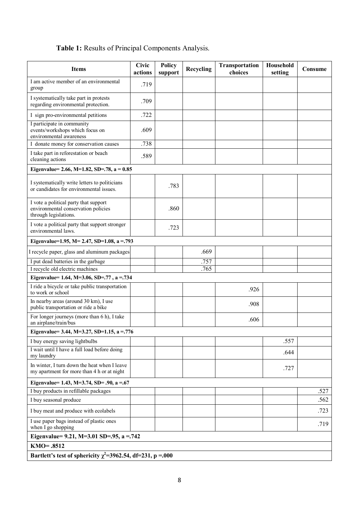# **Table 1:** Results of Principal Components Analysis.

| <b>Items</b>                                                                                          | <b>Civic</b><br>actions | <b>Policy</b><br>support | Recycling | Transportation<br>choices | Household<br>setting | Consume |  |
|-------------------------------------------------------------------------------------------------------|-------------------------|--------------------------|-----------|---------------------------|----------------------|---------|--|
| I am active member of an environmental<br>group                                                       | .719                    |                          |           |                           |                      |         |  |
| I systematically take part in protests<br>regarding environmental protection.                         | .709                    |                          |           |                           |                      |         |  |
| I sign pro-environmental petitions                                                                    | .722                    |                          |           |                           |                      |         |  |
| I participate in community<br>events/workshops which focus on<br>environmental awareness              | .609                    |                          |           |                           |                      |         |  |
| I donate money for conservation causes                                                                | .738                    |                          |           |                           |                      |         |  |
| I take part in reforestation or beach<br>cleaning actions                                             | .589                    |                          |           |                           |                      |         |  |
| Eigenvalue= 2.66, M=1.82, SD=.78, a = $0.85$                                                          |                         |                          |           |                           |                      |         |  |
| I systematically write letters to politicians<br>or candidates for environmental issues.              |                         | .783                     |           |                           |                      |         |  |
| I vote a political party that support<br>environmental conservation policies<br>through legislations. |                         | .860                     |           |                           |                      |         |  |
| I vote a political party that support stronger<br>environmental laws.                                 |                         | .723                     |           |                           |                      |         |  |
| Eigenvalue=1.95, M= 2.47, SD=1.08, a =.793                                                            |                         |                          |           |                           |                      |         |  |
| I recycle paper, glass and aluminum packages                                                          |                         |                          | .669      |                           |                      |         |  |
| I put dead batteries in the garbage                                                                   |                         |                          | .757      |                           |                      |         |  |
| I recycle old electric machines                                                                       |                         |                          | .765      |                           |                      |         |  |
| Eigenvalue= 1.64, M=3.06, SD=.77, a=.734                                                              |                         |                          |           |                           |                      |         |  |
| I ride a bicycle or take public transportation<br>to work or school                                   |                         |                          |           | .926                      |                      |         |  |
| In nearby areas (around 30 km), I use<br>public transportation or ride a bike                         |                         |                          |           | .908                      |                      |         |  |
| For longer journeys (more than 6 h), I take<br>an airplane/train/bus                                  |                         |                          |           | .606                      |                      |         |  |
| Eigenvalue= 3.44, M=3.27, SD=1.15, a = $.776$                                                         |                         |                          |           |                           |                      |         |  |
| I buy energy saving lightbulbs                                                                        |                         |                          |           |                           | .557                 |         |  |
| I wait until I have a full load before doing<br>my laundry                                            |                         |                          |           |                           | .644                 |         |  |
| In winter, I turn down the heat when I leave<br>my apartment for more than 4 h or at night            |                         |                          |           |                           | .727                 |         |  |
| Eigenvalue= 1.43, M=3.74, SD= .90, a = .67                                                            |                         |                          |           |                           |                      |         |  |
| I buy products in refillable packages                                                                 |                         |                          |           |                           |                      | .527    |  |
| I buy seasonal produce                                                                                |                         |                          |           |                           |                      | .562    |  |
| I buy meat and produce with ecolabels                                                                 |                         |                          |           |                           |                      | .723    |  |
| I use paper bags instead of plastic ones<br>when I go shopping                                        |                         |                          |           |                           |                      | .719    |  |
| Eigenvalue= 9.21, M=3.01 SD=.95, a =.742                                                              |                         |                          |           |                           |                      |         |  |
| KMO=.8512                                                                                             |                         |                          |           |                           |                      |         |  |
| Bartlett's test of sphericity $\chi^2$ =3962.54, df=231, p =.000                                      |                         |                          |           |                           |                      |         |  |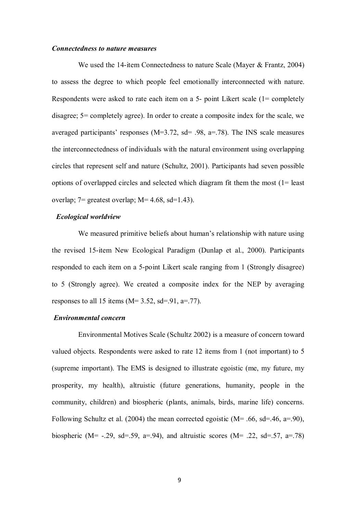#### *Connectedness to nature measures*

 We used the 14-item Connectedness to nature Scale (Mayer & Frantz, 2004) to assess the degree to which people feel emotionally interconnected with nature. Respondents were asked to rate each item on a 5- point Likert scale (1= completely disagree; 5= completely agree). In order to create a composite index for the scale, we averaged participants' responses (M=3.72, sd= .98, a=.78). The INS scale measures the interconnectedness of individuals with the natural environment using overlapping circles that represent self and nature (Schultz, 2001). Participants had seven possible options of overlapped circles and selected which diagram fit them the most (1= least overlap;  $7$ = greatest overlap;  $M$ = 4.68, sd=1.43).

# *Ecological worldview*

 We measured primitive beliefs about human's relationship with nature using the revised 15-item New Ecological Paradigm (Dunlap et al., 2000). Participants responded to each item on a 5-point Likert scale ranging from 1 (Strongly disagree) to 5 (Strongly agree). We created a composite index for the NEP by averaging responses to all 15 items ( $M= 3.52$ , sd=.91, a=.77).

# *Environmental concern*

 Environmental Motives Scale (Schultz 2002) is a measure of concern toward valued objects. Respondents were asked to rate 12 items from 1 (not important) to 5 (supreme important). The EMS is designed to illustrate egoistic (me, my future, my prosperity, my health), altruistic (future generations, humanity, people in the community, children) and biospheric (plants, animals, birds, marine life) concerns. Following Schultz et al. (2004) the mean corrected egoistic ( $M = .66$ , sd=.46, a=.90), biospheric (M= -.29, sd=.59, a=.94), and altruistic scores (M= .22, sd=.57, a=.78)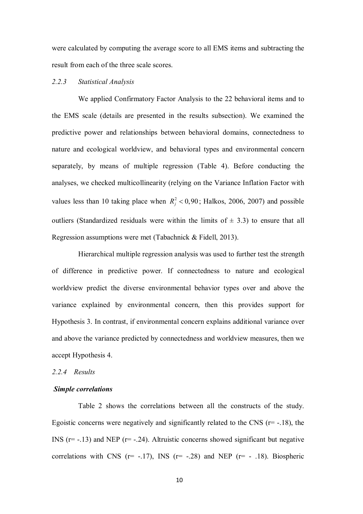were calculated by computing the average score to all EMS items and subtracting the result from each of the three scale scores.

### *2.2.3 Statistical Analysis*

 We applied Confirmatory Factor Analysis to the 22 behavioral items and to the EMS scale (details are presented in the results subsection). We examined the predictive power and relationships between behavioral domains, connectedness to nature and ecological worldview, and behavioral types and environmental concern separately, by means of multiple regression (Table 4). Before conducting the analyses, we checked multicollinearity (relying on the Variance Inflation Factor with values less than 10 taking place when  $R_j^2 < 0.90$ ; Halkos, 2006, 2007) and possible outliers (Standardized residuals were within the limits of  $\pm$  3.3) to ensure that all Regression assumptions were met (Tabachnick & Fidell, 2013).

 Hierarchical multiple regression analysis was used to further test the strength of difference in predictive power. If connectedness to nature and ecological worldview predict the diverse environmental behavior types over and above the variance explained by environmental concern, then this provides support for Hypothesis 3. In contrast, if environmental concern explains additional variance over and above the variance predicted by connectedness and worldview measures, then we accept Hypothesis 4.

#### *2.2.4 Results*

#### *Simple correlations*

 Table 2 shows the correlations between all the constructs of the study. Egoistic concerns were negatively and significantly related to the CNS  $(r=-.18)$ , the INS  $(r=-13)$  and NEP  $(r=-24)$ . Altruistic concerns showed significant but negative correlations with CNS ( $r=$  -.17), INS ( $r=$  -.28) and NEP ( $r=$  -.18). Biospheric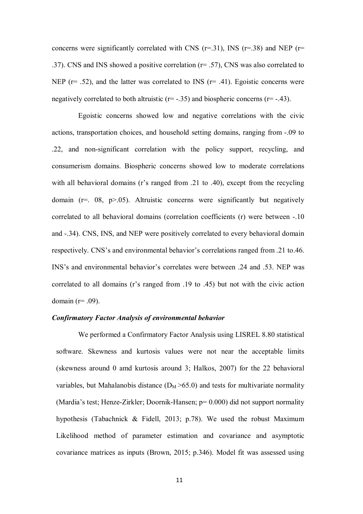concerns were significantly correlated with CNS ( $r=31$ ), INS ( $r=38$ ) and NEP ( $r=$ .37). CNS and INS showed a positive correlation (r= .57), CNS was also correlated to NEP ( $r = .52$ ), and the latter was correlated to INS ( $r = .41$ ). Egoistic concerns were negatively correlated to both altruistic  $(r=-.35)$  and biospheric concerns  $(r=-.43)$ .

 Egoistic concerns showed low and negative correlations with the civic actions, transportation choices, and household setting domains, ranging from -.09 to .22, and non-significant correlation with the policy support, recycling, and consumerism domains. Biospheric concerns showed low to moderate correlations with all behavioral domains (r's ranged from .21 to .40), except from the recycling domain  $(r=0.08, p>0.05)$ . Altruistic concerns were significantly but negatively correlated to all behavioral domains (correlation coefficients (r) were between -.10 and -.34). CNS, INS, and NEP were positively correlated to every behavioral domain respectively. CNS's and environmental behavior's correlations ranged from .21 to.46. INS's and environmental behavior's correlates were between .24 and .53. NEP was correlated to all domains (r's ranged from .19 to .45) but not with the civic action domain  $(r=.09)$ .

# *Confirmatory Factor Analysis of environmental behavior*

 We performed a Confirmatory Factor Analysis using LISREL 8.80 statistical software. Skewness and kurtosis values were not near the acceptable limits (skewness around 0 amd kurtosis around 3; Halkos, 2007) for the 22 behavioral variables, but Mahalanobis distance  $(D_M > 65.0)$  and tests for multivariate normality (Mardia's test; Henze-Zirkler; Doornik-Hansen; p= 0.000) did not support normality hypothesis (Tabachnick & Fidell, 2013; p.78). We used the robust Maximum Likelihood method of parameter estimation and covariance and asymptotic covariance matrices as inputs (Brown, 2015; p.346). Model fit was assessed using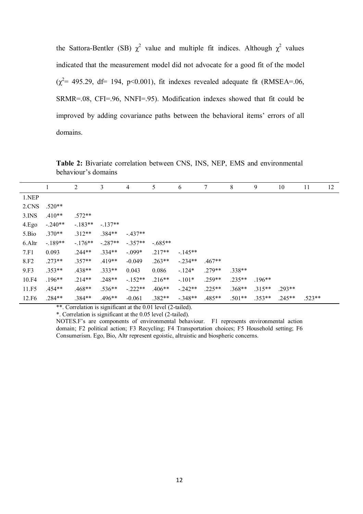the Sattora-Bentler (SB)  $\chi^2$  value and multiple fit indices. Although  $\chi^2$  values indicated that the measurement model did not advocate for a good fit of the model  $(\chi^2$  = 495.29, df = 194, p<0.001), fit indexes revealed adequate fit (RMSEA=.06, SRMR=.08, CFI=.96, NNFI=.95). Modification indexes showed that fit could be improved by adding covariance paths between the behavioral items' errors of all domains.

**Table 2:** Bivariate correlation between CNS, INS, NEP, EMS and environmental behaviour's domains

|                   |           | $\overline{c}$ | 3         | 4         | 5        | 6         | 7        | 8        | 9        | 10       | 11       | 12 |
|-------------------|-----------|----------------|-----------|-----------|----------|-----------|----------|----------|----------|----------|----------|----|
| 1.NEP             |           |                |           |           |          |           |          |          |          |          |          |    |
| 2.CNS             | $.520**$  |                |           |           |          |           |          |          |          |          |          |    |
| $3.$ INS          | $.410**$  | $.572**$       |           |           |          |           |          |          |          |          |          |    |
| 4.Ego             | $-.240**$ | $-183**$       | $-.137**$ |           |          |           |          |          |          |          |          |    |
| 5.Bio             | $.370**$  | $.312**$       | $.384**$  | $-437**$  |          |           |          |          |          |          |          |    |
| 6.Altr            | $-189**$  | $-.176**$      | $-.287**$ | $-.357**$ | $-685**$ |           |          |          |          |          |          |    |
| 7.F1              | 0.093     | $.244**$       | $.334**$  | $-.099*$  | $.217**$ | $-145**$  |          |          |          |          |          |    |
| 8.F <sub>2</sub>  | $.273**$  | $.357**$       | $.419**$  | $-0.049$  | $.263**$ | $-234**$  | $.467**$ |          |          |          |          |    |
| 9.F3              | $.353**$  | .438**         | $.333**$  | 0.043     | 0.086    | $-124*$   | $.279**$ | $.338**$ |          |          |          |    |
| 10.F4             | $.196**$  | $.214**$       | $.248**$  | $-152**$  | $.216**$ | $-.101*$  | $.259**$ | $.235**$ | $196**$  |          |          |    |
| 11.F5             | $.454**$  | .468**         | $.536**$  | $-222**$  | $.406**$ | $-.242**$ | $.225**$ | $.368**$ | $.315**$ | $293**$  |          |    |
| 12.F <sub>6</sub> | .284**    | .384**         | $.496**$  | $-0.061$  | $.382**$ | $-.348**$ | $.485**$ | $.501**$ | $.353**$ | $.245**$ | $.523**$ |    |

\*\*. Correlation is significant at the 0.01 level (2-tailed).

\*. Correlation is significant at the 0.05 level (2-tailed).

NOTES.F's are components of environmental behaviour. F1 represents environmental action domain; F2 political action; F3 Recycling; F4 Transportation choices; F5 Household setting; F6 Consumerism. Ego, Bio, Altr represent egoistic, altruistic and biospheric concerns.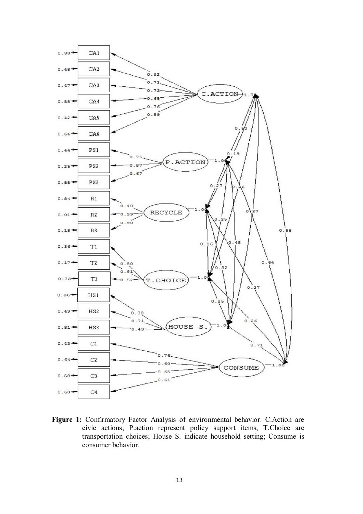

**Figure 1:** Confirmatory Factor Analysis of environmental behavior. C.Action are civic actions; P.action represent policy support items, T.Choice are transportation choices; House S. indicate household setting; Consume is consumer behavior.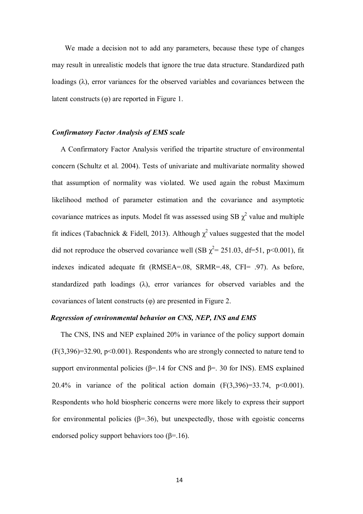We made a decision not to add any parameters, because these type of changes may result in unrealistic models that ignore the true data structure. Standardized path loadings  $(\lambda)$ , error variances for the observed variables and covariances between the latent constructs (φ) are reported in Figure 1.

# *Confirmatory Factor Analysis of EMS scale*

A Confirmatory Factor Analysis verified the tripartite structure of environmental concern (Schultz et al. 2004). Tests of univariate and multivariate normality showed that assumption of normality was violated. We used again the robust Maximum likelihood method of parameter estimation and the covariance and asymptotic covariance matrices as inputs. Model fit was assessed using SB  $\chi^2$  value and multiple fit indices (Tabachnick & Fidell, 2013). Although  $\chi^2$  values suggested that the model did not reproduce the observed covariance well (SB  $\chi^2$  = 251.03, df=51, p<0.001), fit indexes indicated adequate fit (RMSEA=.08, SRMR=.48, CFI= .97). As before, standardized path loadings  $(\lambda)$ , error variances for observed variables and the covariances of latent constructs (φ) are presented in Figure 2.

# *Regression of environmental behavior on CNS, NEP, INS and EMS*

The CNS, INS and NEP explained 20% in variance of the policy support domain  $(F(3,396)=32.90, p<0.001)$ . Respondents who are strongly connected to nature tend to support environmental policies ( $\beta$ =.14 for CNS and  $\beta$ =.30 for INS). EMS explained 20.4% in variance of the political action domain  $(F(3,396)=33.74, p<0.001)$ . Respondents who hold biospheric concerns were more likely to express their support for environmental policies ( $\beta$ =.36), but unexpectedly, those with egoistic concerns endorsed policy support behaviors too  $(\beta = .16)$ .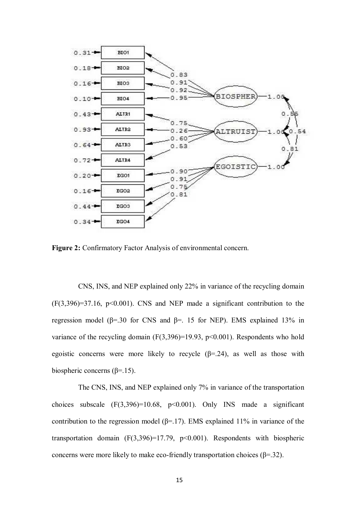

**Figure 2:** Confirmatory Factor Analysis of environmental concern.

 CNS, INS, and NEP explained only 22% in variance of the recycling domain  $(F(3,396)=37.16, p<0.001)$ . CNS and NEP made a significant contribution to the regression model ( $β=30$  for CNS and  $β=$ . 15 for NEP). EMS explained 13% in variance of the recycling domain  $(F(3,396)=19.93, p<0.001)$ . Respondents who hold egoistic concerns were more likely to recycle  $(\beta = 24)$ , as well as those with biospheric concerns ( $\beta$ =.15).

 The CNS, INS, and NEP explained only 7% in variance of the transportation choices subscale  $(F(3,396)=10.68, p<0.001)$ . Only INS made a significant contribution to the regression model ( $\beta$ =.17). EMS explained 11% in variance of the transportation domain  $(F(3,396)=17.79, p<0.001)$ . Respondents with biospheric concerns were more likely to make eco-friendly transportation choices ( $\beta$ =.32).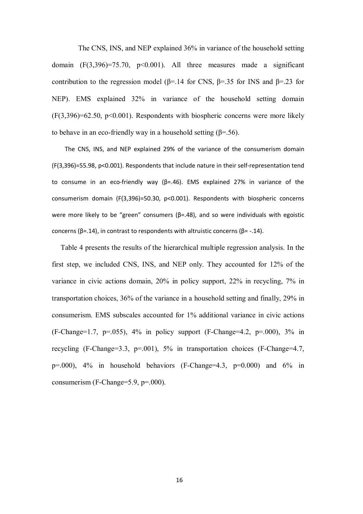The CNS, INS, and NEP explained 36% in variance of the household setting domain  $(F(3,396)=75.70, p<0.001)$ . All three measures made a significant contribution to the regression model ( $\beta$ =.14 for CNS,  $\beta$ =.35 for INS and  $\beta$ =.23 for NEP). EMS explained 32% in variance of the household setting domain  $(F(3,396)=62.50, p<0.001)$ . Respondents with biospheric concerns were more likely to behave in an eco-friendly way in a household setting  $(\beta = .56)$ .

 The CNS, INS, and NEP explained 29% of the variance of the consumerism domain (F(3,396)=55.98, p<0.001). Respondents that include nature in their self-representation tend to consume in an eco-friendly way (β=.46). EMS explained 27% in variance of the consumerism domain (F(3,396)=50.30, p<0.001). Respondents with biospheric concerns were more likely to be "green" consumers ( $\beta$ =.48), and so were individuals with egoistic concerns ( $β = .14$ ), in contrast to respondents with altruistic concerns ( $β = -.14$ ).

Table 4 presents the results of the hierarchical multiple regression analysis. In the first step, we included CNS, INS, and NEP only. They accounted for 12% of the variance in civic actions domain, 20% in policy support, 22% in recycling, 7% in transportation choices, 36% of the variance in a household setting and finally, 29% in consumerism. EMS subscales accounted for 1% additional variance in civic actions  $(F\text{-Change}=1.7, p=.055)$ , 4% in policy support  $(F\text{-Change}=4.2, p=.000)$ , 3% in recycling (F-Change=3.3, p=.001), 5% in transportation choices (F-Change=4.7,  $p=0.000$ ,  $4\%$  in household behaviors (F-Change=4.3,  $p=0.000$ ) and  $6\%$  in consumerism (F-Change=5.9, p=.000).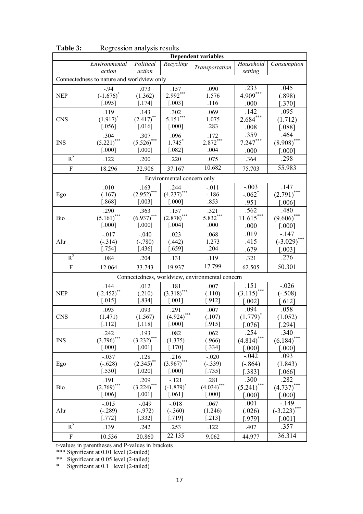|                                            | <b>Dependent variables</b> |                       |                            |                                                 |                      |                      |  |  |
|--------------------------------------------|----------------------------|-----------------------|----------------------------|-------------------------------------------------|----------------------|----------------------|--|--|
|                                            | Environmental<br>action    | Political<br>action   | Recycling                  | Transportation                                  | Household<br>setting | Consumption          |  |  |
| Connectedness to nature and worldview only |                            |                       |                            |                                                 |                      |                      |  |  |
|                                            | $-.94$                     | .073                  | .157                       | .090                                            | .233                 | .045                 |  |  |
| <b>NEP</b>                                 | $(-1.676)^*$               | (1.362)               | $2.992***$                 | 1.576                                           | $4.909***$           | (.898)               |  |  |
|                                            | [.095]                     | $\left[ .174\right]$  | $[.003]$                   | .116                                            | .000                 | $[.370]$             |  |  |
|                                            | .119                       | .143                  | .302                       | .069                                            | .142                 | .095                 |  |  |
| <b>CNS</b>                                 | $(1.917)^{*}$              | $(2.417)$ **          | $5.151***$                 | 1.075                                           | $2.684***$           | (1.712)              |  |  |
|                                            | $[.056]$                   | $[.016]$              | [.000]                     | .283                                            | .008                 | [.088]               |  |  |
|                                            | .304                       | .307                  | .096                       | .172                                            | .359                 | .464                 |  |  |
| <b>INS</b>                                 | $(5.221)$ ***              | $(5.526)$ ***         | $1.745*$                   | $2.872***$                                      | $7.247***$           | $(8.908)$ ***        |  |  |
|                                            | $[.000]$                   | [.000]                | $[.082]$                   | .004                                            | .000                 | [.000]               |  |  |
| $R^2$                                      | .122                       | .200                  | .220                       | .075                                            | .364                 | .298                 |  |  |
| F                                          | 18.296                     | 32.906                | 37.167                     | 10.682                                          | 75.703               | 55.983               |  |  |
|                                            |                            |                       | Environmental concern only |                                                 |                      |                      |  |  |
|                                            | .010                       | .163                  | .244                       | $-.011$                                         | $-.003$              | .147                 |  |  |
| Ego                                        | (.167)                     | $(2.952)$ ***         | $(4.237)$ ***              | $-.186$                                         | $-.062$ <sup>*</sup> | $(2.791)$ ***        |  |  |
|                                            | [.868]                     | $[.003]$              | [.000]                     | .853                                            | .951                 | [.006]               |  |  |
|                                            | .290                       | .363                  | .157                       | .321                                            | .562                 | .480                 |  |  |
| Bio                                        | $(5.161)$ ***              | $(6.937)$ ***         | $(2.878)$ ***              | $5.832***$                                      | $11.615***$          | $(9.606)$ ***        |  |  |
|                                            | $[.000]$                   | $[.000]$              | $[.004]$                   | .000                                            | .000                 | [.000]               |  |  |
|                                            | $-.017$                    | $-.040$               | .023                       | .068                                            | .019                 | $-147$               |  |  |
| Altr                                       | $(-.314)$                  | $(-.780)$             | (.442)                     | 1.273                                           | .415                 | $(-3.029)$ ***       |  |  |
|                                            | $[.754]$                   | $[.436]$              | $[.659]$                   | .204                                            | .679                 | $[.003]$             |  |  |
| $R^2$                                      | .084                       | .204                  | .131                       | .119                                            | .321                 | .276                 |  |  |
| $\overline{F}$                             | 12.064                     | 33.743                | 19.937                     | 17.799                                          | 62.505               | 50.301               |  |  |
|                                            |                            |                       |                            | Connectedness, worldview, environmental concern |                      |                      |  |  |
|                                            | .144                       | .012                  | .181                       | .007                                            | .151                 | $-.026$              |  |  |
| <b>NEP</b>                                 | $(-2.452)$ **              | (.210)                | $(3.318)$ ***              | (.110)                                          | $(3.115)$ ***        | $(-.508)$            |  |  |
|                                            | $[.015]$                   | $[.834]$              | $[.001]$                   | $[.912]$                                        | $[.002]$             | $[.612]$             |  |  |
|                                            | .093                       | .093                  | .291                       | .007                                            | .094                 | .058                 |  |  |
| <b>CNS</b>                                 | (1.471)                    | (1.567)               | $(4.924)$ ***              | (.107)                                          | $(1.779)^*$          | (1.052)              |  |  |
|                                            | [.112]                     | [.118]                | $[.000]$                   | [.915]                                          | $[.076]$             | $[.294]$             |  |  |
|                                            | .242                       | .193                  | .082                       | .062                                            | .254                 | .340                 |  |  |
| <b>INS</b>                                 | $(3.796)$ ***              | $(3.232)$ ***         | (1.375)                    | (.966)                                          | $(4.814)$ ***        | (6.184)              |  |  |
|                                            | $[.000]$                   | $\left[ .001 \right]$ | $[.170]$                   | $[.334]$                                        | $[.000]$             | [.000]               |  |  |
|                                            | $-.037$                    | .128                  | .216                       | $-.020$                                         | $-.042$              | .093                 |  |  |
| Ego                                        | $(-.628)$                  | $(2.345)$ **          | $(3.967)$ ***              | $(-.339)$                                       | $(-.864)$            | (1.843)              |  |  |
|                                            | $[.530]$                   | $[.020]$              | $[.000]$                   | $[.735]$                                        | [.383]               | $[.066]$             |  |  |
|                                            | .191                       | .209                  | $-.121$                    | .281                                            | .300                 | .282                 |  |  |
| Bio                                        | $(2.769)$ ***              | $(3.224)$ ***         | $(-1.879)^{*}$             | $(4.034)$ ***                                   | $(5.241)$ ***        | $(4.737)^{*}$        |  |  |
|                                            | $[.006]$                   | $[.001]$              | $[.061]$                   | $[.000]$                                        | $[.000]$             | [.000]               |  |  |
|                                            | $-.015$                    | $-.049$               | $-.018$                    | .067                                            | .001                 | $-149$               |  |  |
| Altr                                       | $(-.289)$                  | $(-.972)$             | $(-.360)$                  | (1.246)                                         | (.026)               | $(-3.223)$ ***       |  |  |
|                                            | [.772]                     | $[.332]$              | $[.719]$                   | $[.213]$                                        | [.979]               | $\lceil .001 \rceil$ |  |  |
| $R^2$                                      | .139                       | .242                  | .253                       | .122                                            | .407                 | .357                 |  |  |
| $\mathbf{F}$                               | 10.536                     | 20.860                | 22.135                     | 9.062                                           | 44.977               | 36.314               |  |  |

**Table 3:** Regression analysis results

t-values in parentheses and P-values in brackets

\*\*\* Significant at 0.01 level (2-tailed)

\*\* Significant at 0.05 level (2-tailed)

\* Significant at 0.1 level (2-tailed)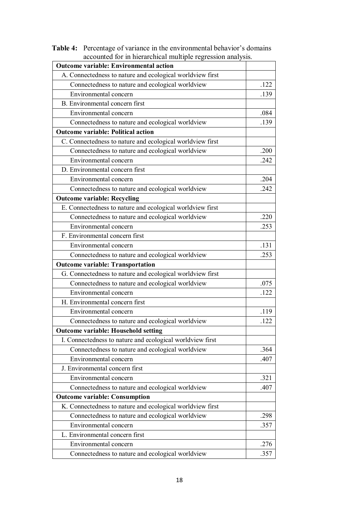| accounted for in merarchical mumple regression analysis.  |      |
|-----------------------------------------------------------|------|
| <b>Outcome variable: Environmental action</b>             |      |
| A. Connectedness to nature and ecological worldview first |      |
| Connectedness to nature and ecological worldview          | .122 |
| Environmental concern                                     | .139 |
| B. Environmental concern first                            |      |
| Environmental concern                                     | .084 |
| Connectedness to nature and ecological worldview          | .139 |
| <b>Outcome variable: Political action</b>                 |      |
| C. Connectedness to nature and ecological worldview first |      |
| Connectedness to nature and ecological worldview          | .200 |
| Environmental concern                                     | .242 |
| D. Environmental concern first                            |      |
| Environmental concern                                     | .204 |
| Connectedness to nature and ecological worldview          | .242 |
| <b>Outcome variable: Recycling</b>                        |      |
| E. Connectedness to nature and ecological worldview first |      |
| Connectedness to nature and ecological worldview          | .220 |
| Environmental concern                                     | .253 |
| F. Environmental concern first                            |      |
| Environmental concern                                     | .131 |
| Connectedness to nature and ecological worldview          | .253 |
| <b>Outcome variable: Transportation</b>                   |      |
| G. Connectedness to nature and ecological worldview first |      |
| Connectedness to nature and ecological worldview          | .075 |
| Environmental concern                                     | .122 |
| H. Environmental concern first                            |      |
| Environmental concern                                     | .119 |
| Connectedness to nature and ecological worldview          | .122 |
| <b>Outcome variable: Household setting</b>                |      |
| I. Connectedness to nature and ecological worldview first |      |
| Connectedness to nature and ecological worldview          | .364 |
| Environmental concern                                     | .407 |
| J. Environmental concern first                            |      |
| Environmental concern                                     | .321 |
| Connectedness to nature and ecological worldview          | .407 |
| <b>Outcome variable: Consumption</b>                      |      |
| K. Connectedness to nature and ecological worldview first |      |
| Connectedness to nature and ecological worldview          | .298 |
| Environmental concern                                     | .357 |
| L. Environmental concern first                            |      |
| Environmental concern                                     | .276 |
| Connectedness to nature and ecological worldview          | .357 |

**Table 4:** Percentage of variance in the environmental behavior's domains accounted for in hierarchical multiple regression analysis.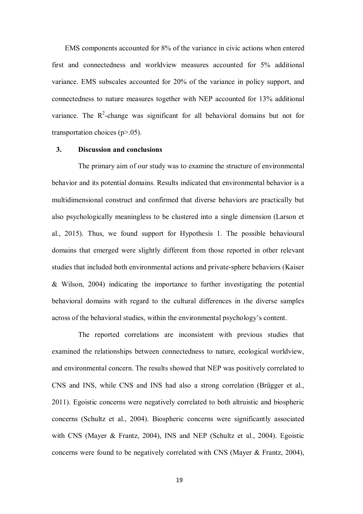EMS components accounted for 8% of the variance in civic actions when entered first and connectedness and worldview measures accounted for 5% additional variance. EMS subscales accounted for 20% of the variance in policy support, and connectedness to nature measures together with NEP accounted for 13% additional variance. The  $R^2$ -change was significant for all behavioral domains but not for transportation choices  $(p>0.05)$ .

#### **3. Discussion and conclusions**

 The primary aim of our study was to examine the structure of environmental behavior and its potential domains. Results indicated that environmental behavior is a multidimensional construct and confirmed that diverse behaviors are practically but also psychologically meaningless to be clustered into a single dimension (Larson et al., 2015). Thus, we found support for Hypothesis 1. The possible behavioural domains that emerged were slightly different from those reported in other relevant studies that included both environmental actions and private-sphere behaviors (Kaiser & Wilson, 2004) indicating the importance to further investigating the potential behavioral domains with regard to the cultural differences in the diverse samples across of the behavioral studies, within the environmental psychology's content.

 The reported correlations are inconsistent with previous studies that examined the relationships between connectedness to nature, ecological worldview, and environmental concern. The results showed that NEP was positively correlated to CNS and INS, while CNS and INS had also a strong correlation (Brügger et al., 2011). Egoistic concerns were negatively correlated to both altruistic and biospheric concerns (Schultz et al., 2004). Biospheric concerns were significantly associated with CNS (Mayer & Frantz, 2004), INS and NEP (Schultz et al., 2004). Egoistic concerns were found to be negatively correlated with CNS (Mayer & Frantz, 2004),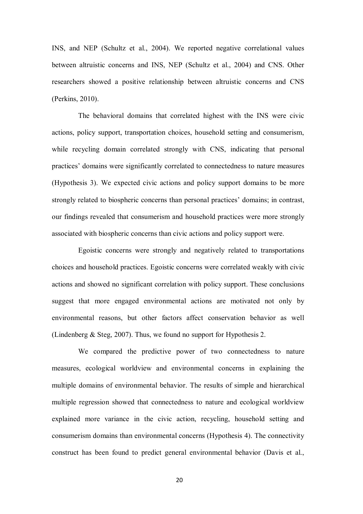INS, and NEP (Schultz et al., 2004). We reported negative correlational values between altruistic concerns and INS, NEP (Schultz et al., 2004) and CNS. Other researchers showed a positive relationship between altruistic concerns and CNS (Perkins, 2010).

 The behavioral domains that correlated highest with the INS were civic actions, policy support, transportation choices, household setting and consumerism, while recycling domain correlated strongly with CNS, indicating that personal practices' domains were significantly correlated to connectedness to nature measures (Hypothesis 3). We expected civic actions and policy support domains to be more strongly related to biospheric concerns than personal practices' domains; in contrast, our findings revealed that consumerism and household practices were more strongly associated with biospheric concerns than civic actions and policy support were.

 Egoistic concerns were strongly and negatively related to transportations choices and household practices. Egoistic concerns were correlated weakly with civic actions and showed no significant correlation with policy support. These conclusions suggest that more engaged environmental actions are motivated not only by environmental reasons, but other factors affect conservation behavior as well (Lindenberg & Steg, 2007). Thus, we found no support for Hypothesis 2.

 We compared the predictive power of two connectedness to nature measures, ecological worldview and environmental concerns in explaining the multiple domains of environmental behavior. The results of simple and hierarchical multiple regression showed that connectedness to nature and ecological worldview explained more variance in the civic action, recycling, household setting and consumerism domains than environmental concerns (Hypothesis 4). The connectivity construct has been found to predict general environmental behavior (Davis et al.,

20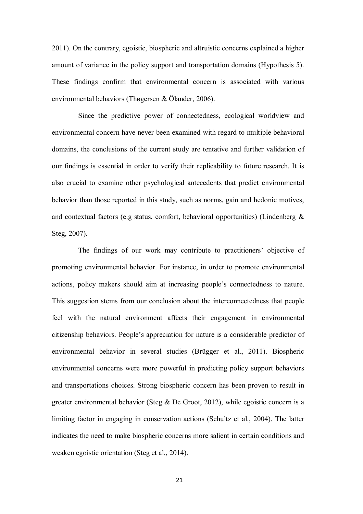2011). On the contrary, egoistic, biospheric and altruistic concerns explained a higher amount of variance in the policy support and transportation domains (Hypothesis 5). These findings confirm that environmental concern is associated with various environmental behaviors (Thøgersen & Ölander, 2006).

 Since the predictive power of connectedness, ecological worldview and environmental concern have never been examined with regard to multiple behavioral domains, the conclusions of the current study are tentative and further validation of our findings is essential in order to verify their replicability to future research. It is also crucial to examine other psychological antecedents that predict environmental behavior than those reported in this study, such as norms, gain and hedonic motives, and contextual factors (e.g status, comfort, behavioral opportunities) (Lindenberg & Steg, 2007).

 The findings of our work may contribute to practitioners' objective of promoting environmental behavior. For instance, in order to promote environmental actions, policy makers should aim at increasing people's connectedness to nature. This suggestion stems from our conclusion about the interconnectedness that people feel with the natural environment affects their engagement in environmental citizenship behaviors. People's appreciation for nature is a considerable predictor of environmental behavior in several studies (Brügger et al., 2011). Biospheric environmental concerns were more powerful in predicting policy support behaviors and transportations choices. Strong biospheric concern has been proven to result in greater environmental behavior (Steg  $\&$  De Groot, 2012), while egoistic concern is a limiting factor in engaging in conservation actions (Schultz et al., 2004). The latter indicates the need to make biospheric concerns more salient in certain conditions and weaken egoistic orientation (Steg et al., 2014).

21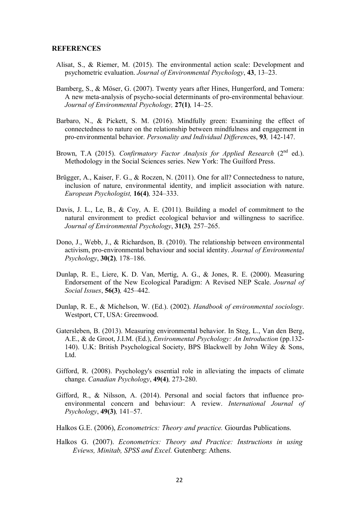#### **REFERENCES**

- Alisat, S., & Riemer, M. (2015). The environmental action scale: Development and psychometric evaluation. *Journal of Environmental Psychology*, **43**, 13–23.
- Bamberg, S., & Möser, G. (2007). Twenty years after Hines, Hungerford, and Tomera: A new meta-analysis of psycho-social determinants of pro-environmental behaviour*. Journal of Environmental Psychology,* **27(1)***,* 14–25.
- Barbaro, N., & Pickett, S. M. (2016). Mindfully green: Examining the effect of connectedness to nature on the relationship between mindfulness and engagement in pro-environmental behavior. *Personality and Individual Differenc*es, **93***,* 142-147.
- Brown, T.A (2015). *Confirmatory Factor Analysis for Applied Research* (2<sup>nd</sup> ed.). Methodology in the Social Sciences series. New York: The Guilford Press.
- Brügger, A., Kaiser, F. G., & Roczen, N. (2011). One for all? Connectedness to nature, inclusion of nature, environmental identity, and implicit association with nature. *European Psychologist,* **16(4)***,* 324–333.
- Davis, J. L., Le, B., & Coy, A. E. (2011). Building a model of commitment to the natural environment to predict ecological behavior and willingness to sacrifice. *Journal of Environmental Psychology*, **31(3)***,* 257–265.
- Dono, J., Webb, J., & Richardson, B. (2010). The relationship between environmental activism, pro-environmental behaviour and social identity. *Journal of Environmental Psychology*, **30(2)***,* 178–186.
- Dunlap, R. E., Liere, K. D. Van, Mertig, A. G., & Jones, R. E. (2000). Measuring Endorsement of the New Ecological Paradigm: A Revised NEP Scale. *Journal of Social Issues*, **56(3)***,* 425–442.
- Dunlap, R. E., & Michelson, W. (Ed.). (2002). *Handbook of environmental sociology*. Westport, CT, USA: Greenwood.
- Gatersleben, B. (2013). Measuring environmental behavior. In Steg, L., Van den Berg, A.E., & de Groot, J.I.M. (Ed.), *Environmental Psychology: An Introduction* (pp.132- 140). U.K: British Psychological Society, BPS Blackwell by John Wiley & Sons, Ltd.
- Gifford, R. (2008). Psychology's essential role in alleviating the impacts of climate change. *Canadian Psychology*, **49(4)***,* 273-280.
- Gifford, R., & Nilsson, A. (2014). Personal and social factors that influence proenvironmental concern and behaviour: A review. *International Journal of Psychology*, **49(3)***,* 141–57.
- Halkos G.E. (2006), *Econometrics: Theory and practice.* Giourdas Publications.
- Halkos G. (2007). *Econometrics: Theory and Practice: Instructions in using Eviews, Minitab, SPSS and Excel.* Gutenberg: Athens.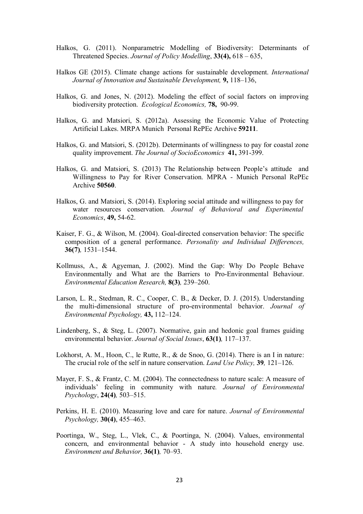- Halkos, G. (2011). Nonparametric Modelling of Biodiversity: Determinants of Threatened Species. *Journal of Policy Modelling*, **33(4),** 618 – 635,
- Halkos GE (2015). Climate change actions for sustainable development. *International Journal of Innovation and Sustainable Development,* **9,** 118–136,
- Halkos, G. and Jones, N. (2012). Modeling the effect of social factors on improving biodiversity protection. *Ecological Economics,* **78,** 90-99.
- Halkos, G. and Matsiori, S. (2012a). Assessing the Economic Value of Protecting Artificial Lakes. MRPA Munich Personal RePEc Archive **59211**.
- Halkos, G. and Matsiori, S. (2012b). Determinants of willingness to pay for coastal zone quality improvement. *The Journal of SocioEconomics* **41,** 391-399.
- Halkos, G. and Matsiori, S. (2013) The Relationship between People's attitude and Willingness to Pay for River Conservation. MPRA - Munich Personal RePEc Archive **50560**.
- Halkos, G. and Matsiori, S. (2014). Exploring social attitude and willingness to pay for water resources conservation. *Journal of Behavioral and Experimental Economics*, **49,** 54-62.
- Kaiser, F. G., & Wilson, M. (2004). Goal-directed conservation behavior: The specific composition of a general performance. *Personality and Individual Differences,*  **36(7)***,* 1531–1544.
- Kollmuss, A., & Agyeman, J. (2002). Mind the Gap: Why Do People Behave Environmentally and What are the Barriers to Pro-Environmental Behaviour. *Environmental Education Research,* **8(3)***,* 239–260.
- Larson, L. R., Stedman, R. C., Cooper, C. B., & Decker, D. J. (2015). Understanding the multi-dimensional structure of pro-environmental behavior. *Journal of Environmental Psychology,* **43,** 112–124.
- Lindenberg, S., & Steg, L. (2007). Normative, gain and hedonic goal frames guiding environmental behavior. *Journal of Social Issues*, **63(1)***,* 117–137.
- Lokhorst, A. M., Hoon, C., le Rutte, R., & de Snoo, G. (2014). There is an I in nature: The crucial role of the self in nature conservation. *Land Use Policy,* **39***,* 121–126.
- Mayer, F. S., & Frantz, C. M. (2004). The connectedness to nature scale: A measure of individuals' feeling in community with nature*. Journal of Environmental Psychology*, **24(4)***,* 503–515.
- Perkins, H. E. (2010). Measuring love and care for nature. *Journal of Environmental Psychology,* **30(4)**, 455–463.
- Poortinga, W., Steg, L., Vlek, C., & Poortinga, N. (2004). Values, environmental concern, and environmental behavior - A study into household energy use. *Environment and Behavior,* **36(1)***,* 70–93.